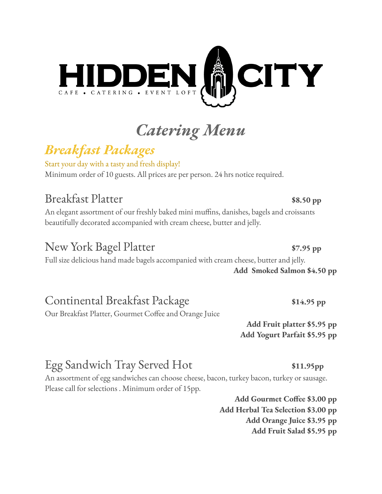

# *Catering Menu*

# *Breakfast Packages*

Start your day with a tasty and fresh display! Minimum order of 10 guests. All prices are per person. 24 hrs notice required.

# Breakfast Platter **\$8.50 pp**

An elegant assortment of our freshly baked mini muffins, danishes, bagels and croissants beautifully decorated accompanied with cream cheese, butter and jelly.

## New York Bagel Platter **\$7.95 pp**

Full size delicious hand made bagels accompanied with cream cheese, butter and jelly.

# Continental Breakfast Package **\$14.95 pp**

Our Breakfast Platter, Gourmet Coffee and Orange Juice

**Add Smoked Salmon \$4.50 pp**

**Add Fruit platter \$5.95 pp Add Yogurt Parfait \$5.95 pp**

# Egg Sandwich Tray Served Hot **\$11.95pp**

An assortment of egg sandwiches can choose cheese, bacon, turkey bacon, turkey or sausage. Please call for selections . Minimum order of 15pp.

> **Add Gourmet Coffee \$3.00 pp Add Herbal Tea Selection \$3.00 pp Add Orange Juice \$3.95 pp Add Fruit Salad \$5.95 pp**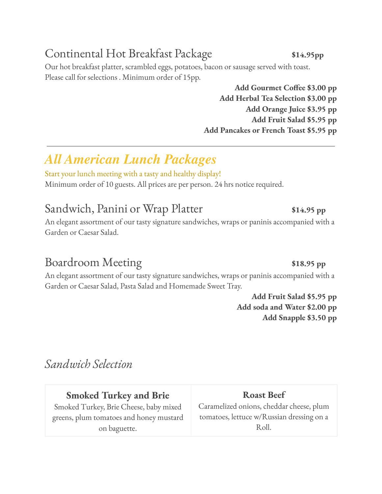# Continental Hot Breakfast Package **\$14.95pp**

Our hot breakfast platter, scrambled eggs, potatoes, bacon or sausage served with toast. Please call for selections . Minimum order of 15pp.

> **Add Gourmet Coffee \$3.00 pp Add Herbal Tea Selection \$3.00 pp Add Orange Juice \$3.95 pp Add Fruit Salad \$5.95 pp Add Pancakes or French Toast \$5.95 pp**

# *All American Lunch Packages*

Start your lunch meeting with a tasty and healthy display! Minimum order of 10 guests. All prices are per person. 24 hrs notice required.

## Sandwich, Panini or Wrap Platter **\$14.95** pp

An elegant assortment of our tasty signature sandwiches, wraps or paninis accompanied with a Garden or Caesar Salad.

# Boardroom Meeting **\$18.95 pp**

An elegant assortment of our tasty signature sandwiches, wraps or paninis accompanied with a Garden or Caesar Salad, Pasta Salad and Homemade Sweet Tray.

> **Add Fruit Salad \$5.95 pp Add soda and Water \$2.00 pp Add Snapple \$3.50 pp**

*Sandwich Selection*

## **Smoked Turkey and Brie**

Smoked Turkey, Brie Cheese, baby mixed greens, plum tomatoes and honey mustard on baguette.

**Roast Beef** Caramelized onions, cheddar cheese, plum tomatoes, lettuce w/Russian dressing on a Roll.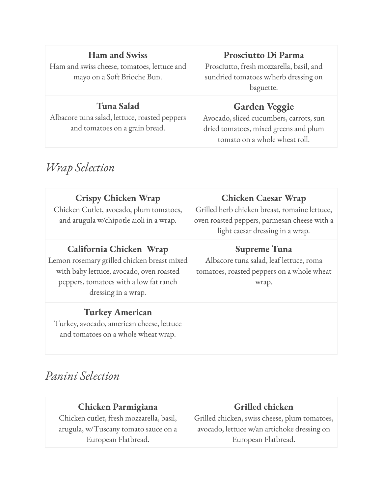## **Ham and Swiss**

Ham and swiss cheese, tomatoes, lettuce and mayo on a Soft Brioche Bun.

## **Tuna Salad**

Albacore tuna salad, lettuce, roasted peppers and tomatoes on a grain bread.

## **Prosciutto Di Parma**

Prosciutto, fresh mozzarella, basil, and sundried tomatoes w/herb dressing on baguette.

## **Garden Veggie**

Avocado, sliced cucumbers, carrots, sun dried tomatoes, mixed greens and plum tomato on a whole wheat roll.

## *Wrap Selection*

| <b>Crispy Chicken Wrap</b><br>Chicken Cutlet, avocado, plum tomatoes,<br>and arugula w/chipotle aioli in a wrap.                                                                    | <b>Chicken Caesar Wrap</b><br>Grilled herb chicken breast, romaine lettuce,<br>oven roasted peppers, parmesan cheese with a<br>light caesar dressing in a wrap. |
|-------------------------------------------------------------------------------------------------------------------------------------------------------------------------------------|-----------------------------------------------------------------------------------------------------------------------------------------------------------------|
| California Chicken Wrap<br>Lemon rosemary grilled chicken breast mixed<br>with baby lettuce, avocado, oven roasted<br>peppers, tomatoes with a low fat ranch<br>dressing in a wrap. | <b>Supreme Tuna</b><br>Albacore tuna salad, leaf lettuce, roma<br>tomatoes, roasted peppers on a whole wheat<br>wrap.                                           |
| <b>Turkey American</b><br>Turkey, avocado, american cheese, lettuce                                                                                                                 |                                                                                                                                                                 |

*Panini Selection*

and tomatoes on a whole wheat wrap.

| Chicken Parmigiana                       | Grilled chicken                               |
|------------------------------------------|-----------------------------------------------|
| Chicken cutlet, fresh mozzarella, basil, | Grilled chicken, swiss cheese, plum tomatoes, |
| arugula, w/Tuscany tomato sauce on a     | avocado, lettuce w/an artichoke dressing on   |
| European Flatbread.                      | European Flatbread.                           |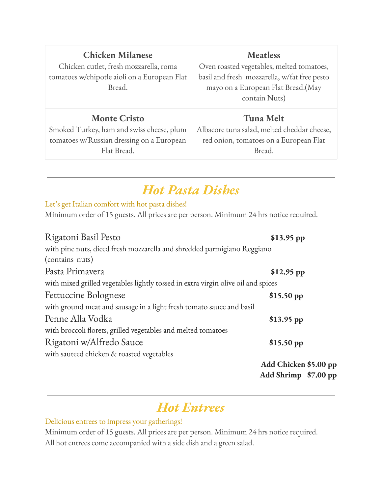| <b>Chicken Milanese</b>                      | <b>Meatless</b>                              |
|----------------------------------------------|----------------------------------------------|
| Chicken cutlet, fresh mozzarella, roma       | Oven roasted vegetables, melted tomatoes,    |
| tomatoes w/chipotle aioli on a European Flat | basil and fresh mozzarella, w/fat free pesto |
| Bread.                                       | mayo on a European Flat Bread.(May           |
|                                              | contain Nuts)                                |
|                                              |                                              |
| <b>Monte Cristo</b>                          | <b>Tuna Melt</b>                             |
| Smoked Turkey, ham and swiss cheese, plum    | Albacore tuna salad, melted cheddar cheese,  |
| tomatoes w/Russian dressing on a European    | red onion, tomatoes on a European Flat       |
| Flat Bread.                                  | Bread.                                       |

# *Hot Pasta Dishes*

Let's get Italian comfort with hot pasta dishes!

Minimum order of 15 guests. All prices are per person. Minimum 24 hrs notice required.

| Rigatoni Basil Pesto                                                              | $$13.95$ pp           |
|-----------------------------------------------------------------------------------|-----------------------|
| with pine nuts, diced fresh mozzarella and shredded parmigiano Reggiano           |                       |
| (contains nuts)                                                                   |                       |
| Pasta Primavera                                                                   | $$12.95$ pp           |
| with mixed grilled vegetables lightly tossed in extra virgin olive oil and spices |                       |
| <b>Fettuccine Bolognese</b>                                                       | $$15.50$ pp           |
| with ground meat and sausage in a light fresh tomato sauce and basil              |                       |
| Penne Alla Vodka                                                                  | $$13.95$ pp           |
| with broccoli florets, grilled vegetables and melted tomatoes                     |                       |
| Rigatoni w/Alfredo Sauce                                                          | $$15.50$ pp           |
| with sauteed chicken & roasted vegetables                                         |                       |
|                                                                                   | Add Chicken \$5.00 pp |
|                                                                                   | Add Shrimp \$7.00 pp  |

# *Hot Entrees*

#### Delicious entrees to impress your gatherings!

Minimum order of 15 guests. All prices are per person. Minimum 24 hrs notice required. All hot entrees come accompanied with a side dish and a green salad.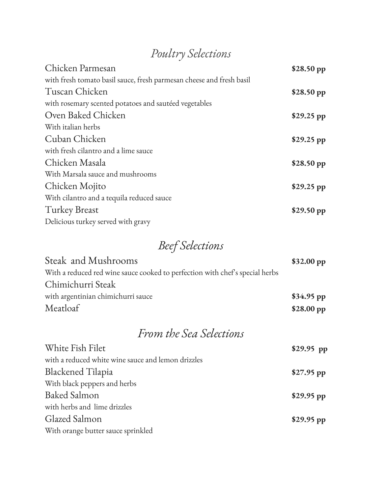# *Poultry Selections*

| Chicken Parmesan                                                     | \$28.50 pp  |
|----------------------------------------------------------------------|-------------|
| with fresh tomato basil sauce, fresh parmesan cheese and fresh basil |             |
| Tuscan Chicken                                                       | \$28.50 pp  |
| with rosemary scented potatoes and sautéed vegetables                |             |
| Oven Baked Chicken                                                   | \$29.25 pp  |
| With italian herbs                                                   |             |
| Cuban Chicken                                                        | $$29.25$ pp |
| with fresh cilantro and a lime sauce                                 |             |
| Chicken Masala                                                       | \$28.50 pp  |
| With Marsala sauce and mushrooms                                     |             |
| Chicken Mojito                                                       | $$29.25$ pp |
| With cilantro and a tequila reduced sauce                            |             |
| <b>Turkey Breast</b>                                                 | \$29.50 pp  |
| Delicious turkey served with gravy                                   |             |

# *Beef Selections*

| Steak and Mushrooms                                                          | \$32.00~pp  |
|------------------------------------------------------------------------------|-------------|
| With a reduced red wine sauce cooked to perfection with chef's special herbs |             |
| Chimichurri Steak                                                            |             |
| with argentinian chimichurri sauce                                           | $$34.95$ pp |
| Meatloaf                                                                     | \$28.00~pp  |

# *From the Sea Selections*

| White Fish Filet                                   | $$29.95$ pp |
|----------------------------------------------------|-------------|
| with a reduced white wine sauce and lemon drizzles |             |
| <b>Blackened Tilapia</b>                           | $$27.95$ pp |
| With black peppers and herbs                       |             |
| <b>Baked Salmon</b>                                | $$29.95$ pp |
| with herbs and lime drizzles                       |             |
| Glazed Salmon                                      | $$29.95$ pp |
| With orange butter sauce sprinkled                 |             |
|                                                    |             |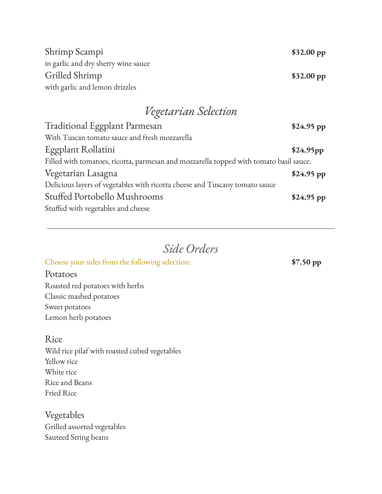| \$32.00~pp |
|------------|
|            |
| \$32.00~pp |
|            |
|            |

## *Vegetarian Selection*

| $$24.95$ pp                                                                            |
|----------------------------------------------------------------------------------------|
|                                                                                        |
| \$24.95pp                                                                              |
| Filled with tomatoes, ricotta, parmesan and mozzarella topped with tomato basil sauce. |
| $$24.95$ pp                                                                            |
|                                                                                        |
| $$24.95$ pp                                                                            |
|                                                                                        |
|                                                                                        |

## *Side Orders*

### Choose your sides from the following selection: **\$7.50 pp**

Potatoes Roasted red potatoes with herbs Classic mashed potatoes Sweet potatoes Lemon herb potatoes

### Rice

Wild rice pilaf with roasted cubed vegetables Yellow rice White rice Rice and Beans Fried Rice

Vegetables Grilled assorted vegetables Sauteed String beans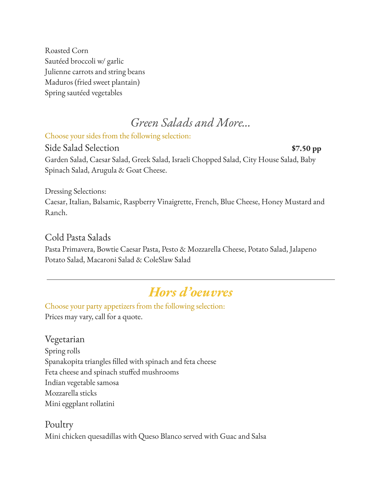Roasted Corn Sautéed broccoli w/ garlic Julienne carrots and string beans Maduros (fried sweet plantain) Spring sautéed vegetables

## *Green Salads and More…*

Choose your sides from the following selection:

Side Salad Selection **\$7.50 pp** Garden Salad, Caesar Salad, Greek Salad, Israeli Chopped Salad, City House Salad, Baby Spinach Salad, Arugula & Goat Cheese.

Dressing Selections:

Caesar, Italian, Balsamic, Raspberry Vinaigrette, French, Blue Cheese, Honey Mustard and Ranch.

### Cold Pasta Salads

Pasta Primavera, Bowtie Caesar Pasta, Pesto & Mozzarella Cheese, Potato Salad, Jalapeno Potato Salad, Macaroni Salad & ColeSlaw Salad

# *Hors d'oeuvres*

Choose your party appetizers from the following selection: Prices may vary, call for a quote.

Vegetarian

Spring rolls Spanakopita triangles filled with spinach and feta cheese Feta cheese and spinach stuffed mushrooms Indian vegetable samosa Mozzarella sticks Mini eggplant rollatini

Poultry Mini chicken quesadillas with Queso Blanco served with Guac and Salsa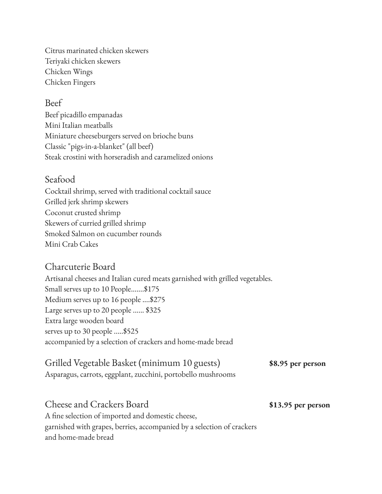Citrus marinated chicken skewers Teriyaki chicken skewers Chicken Wings Chicken Fingers

### Beef

Beef picadillo empanadas Mini Italian meatballs Miniature cheeseburgers served on brioche buns Classic "pigs-in-a-blanket" (all beef) Steak crostini with horseradish and caramelized onions

### Seafood

Cocktail shrimp, served with traditional cocktail sauce Grilled jerk shrimp skewers Coconut crusted shrimp Skewers of curried grilled shrimp Smoked Salmon on cucumber rounds Mini Crab Cakes

### Charcuterie Board

Artisanal cheeses and Italian cured meats garnished with grilled vegetables. Small serves up to 10 People.......\$175 Medium serves up to 16 people ....\$275 Large serves up to 20 people ...... \$325 Extra large wooden board serves up to 30 people .....\$525 accompanied by a selection of crackers and home-made bread

## Grilled Vegetable Basket (minimum 10 guests) **\$8.95 per person**

Asparagus, carrots, eggplant, zucchini, portobello mushrooms

Cheese and Crackers Board **\$13.95 per person**

A fine selection of imported and domestic cheese, garnished with grapes, berries, accompanied by a selection of crackers and home-made bread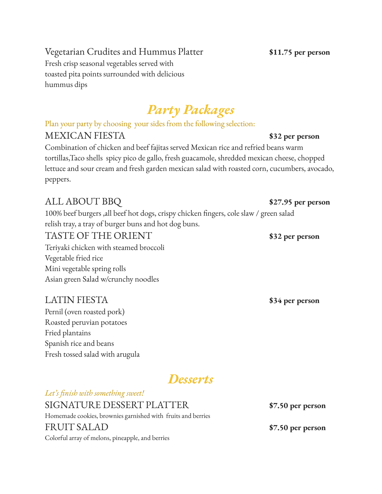## Vegetarian Crudites and Hummus Platter **\$11.75 per person**

Fresh crisp seasonal vegetables served with toasted pita points surrounded with delicious hummus dips

# *Party Packages*

Plan your party by choosing your sides from the following selection:

## MEXICAN FIESTA **\$32 per person**

Combination of chicken and beef fajitas served Mexican rice and refried beans warm tortillas,Taco shells spicy pico de gallo, fresh guacamole, shredded mexican cheese, chopped lettuce and sour cream and fresh garden mexican salad with roasted corn, cucumbers, avocado, peppers.

## ALL ABOUT BBQ **\$27.95 per person**

100% beef burgers ,all beef hot dogs, crispy chicken fingers, cole slaw / green salad relish tray, a tray of burger buns and hot dog buns.

## TASTE OF THE ORIENT **\$32 per person**

Teriyaki chicken with steamed broccoli Vegetable fried rice Mini vegetable spring rolls Asian green Salad w/crunchy noodles

## LATIN FIESTA **\$34 per person**

Pernil (oven roasted pork) Roasted peruvian potatoes Fried plantains Spanish rice and beans Fresh tossed salad with arugula

## *Desserts*

*Let's finish with something sweet!* SIGNATURE DESSERT PLATTER **\$7.50 per person** Homemade cookies, brownies garnished with fruits and berries FRUIT SALAD **\$7.50 per person** Colorful array of melons, pineapple, and berries